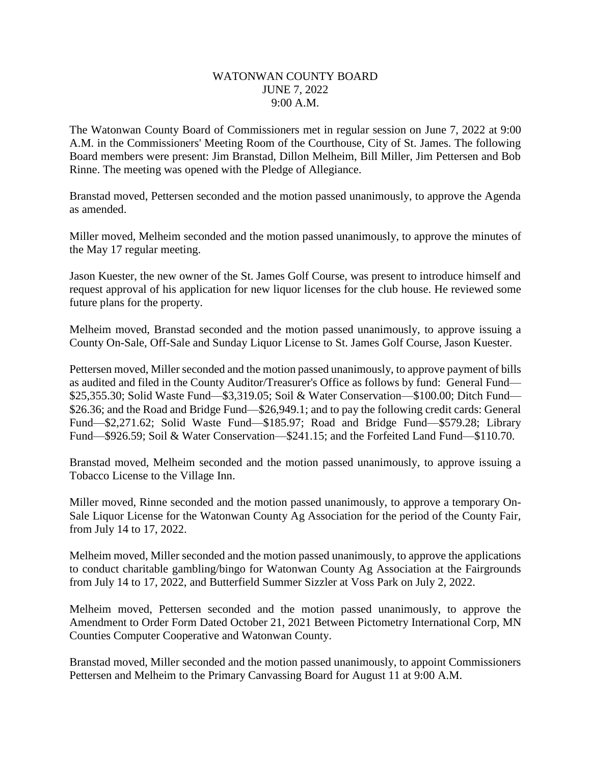## WATONWAN COUNTY BOARD JUNE 7, 2022 9:00 A.M.

The Watonwan County Board of Commissioners met in regular session on June 7, 2022 at 9:00 A.M. in the Commissioners' Meeting Room of the Courthouse, City of St. James. The following Board members were present: Jim Branstad, Dillon Melheim, Bill Miller, Jim Pettersen and Bob Rinne. The meeting was opened with the Pledge of Allegiance.

Branstad moved, Pettersen seconded and the motion passed unanimously, to approve the Agenda as amended.

Miller moved, Melheim seconded and the motion passed unanimously, to approve the minutes of the May 17 regular meeting.

Jason Kuester, the new owner of the St. James Golf Course, was present to introduce himself and request approval of his application for new liquor licenses for the club house. He reviewed some future plans for the property.

Melheim moved, Branstad seconded and the motion passed unanimously, to approve issuing a County On-Sale, Off-Sale and Sunday Liquor License to St. James Golf Course, Jason Kuester.

Pettersen moved, Miller seconded and the motion passed unanimously, to approve payment of bills as audited and filed in the County Auditor/Treasurer's Office as follows by fund: General Fund— \$25,355.30; Solid Waste Fund—\$3,319.05; Soil & Water Conservation—\$100.00; Ditch Fund— \$26.36; and the Road and Bridge Fund—\$26,949.1; and to pay the following credit cards: General Fund—\$2,271.62; Solid Waste Fund—\$185.97; Road and Bridge Fund—\$579.28; Library Fund—\$926.59; Soil & Water Conservation—\$241.15; and the Forfeited Land Fund—\$110.70.

Branstad moved, Melheim seconded and the motion passed unanimously, to approve issuing a Tobacco License to the Village Inn.

Miller moved, Rinne seconded and the motion passed unanimously, to approve a temporary On-Sale Liquor License for the Watonwan County Ag Association for the period of the County Fair, from July 14 to 17, 2022.

Melheim moved, Miller seconded and the motion passed unanimously, to approve the applications to conduct charitable gambling/bingo for Watonwan County Ag Association at the Fairgrounds from July 14 to 17, 2022, and Butterfield Summer Sizzler at Voss Park on July 2, 2022.

Melheim moved, Pettersen seconded and the motion passed unanimously, to approve the Amendment to Order Form Dated October 21, 2021 Between Pictometry International Corp, MN Counties Computer Cooperative and Watonwan County.

Branstad moved, Miller seconded and the motion passed unanimously, to appoint Commissioners Pettersen and Melheim to the Primary Canvassing Board for August 11 at 9:00 A.M.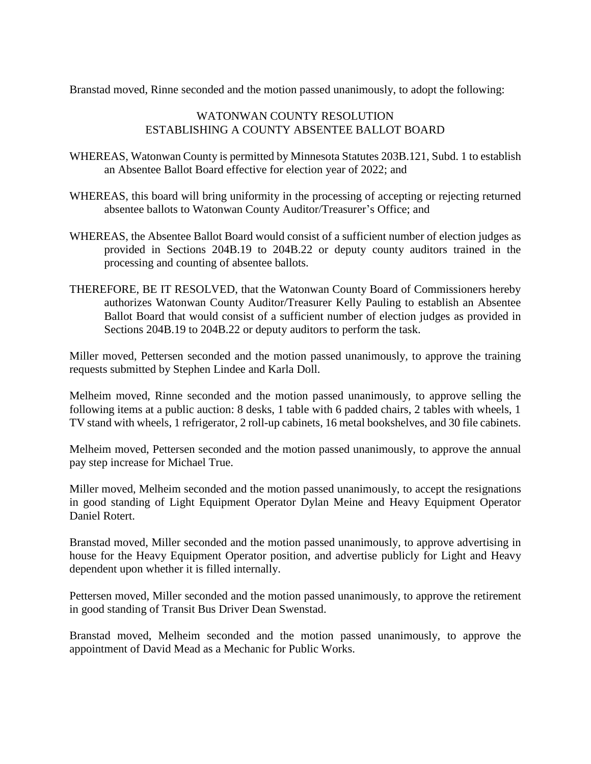Branstad moved, Rinne seconded and the motion passed unanimously, to adopt the following:

## WATONWAN COUNTY RESOLUTION ESTABLISHING A COUNTY ABSENTEE BALLOT BOARD

- WHEREAS, Watonwan County is permitted by Minnesota Statutes 203B.121, Subd. 1 to establish an Absentee Ballot Board effective for election year of 2022; and
- WHEREAS, this board will bring uniformity in the processing of accepting or rejecting returned absentee ballots to Watonwan County Auditor/Treasurer's Office; and
- WHEREAS, the Absentee Ballot Board would consist of a sufficient number of election judges as provided in Sections 204B.19 to 204B.22 or deputy county auditors trained in the processing and counting of absentee ballots.
- THEREFORE, BE IT RESOLVED, that the Watonwan County Board of Commissioners hereby authorizes Watonwan County Auditor/Treasurer Kelly Pauling to establish an Absentee Ballot Board that would consist of a sufficient number of election judges as provided in Sections 204B.19 to 204B.22 or deputy auditors to perform the task.

Miller moved, Pettersen seconded and the motion passed unanimously, to approve the training requests submitted by Stephen Lindee and Karla Doll.

Melheim moved, Rinne seconded and the motion passed unanimously, to approve selling the following items at a public auction: 8 desks, 1 table with 6 padded chairs, 2 tables with wheels, 1 TV stand with wheels, 1 refrigerator, 2 roll-up cabinets, 16 metal bookshelves, and 30 file cabinets.

Melheim moved, Pettersen seconded and the motion passed unanimously, to approve the annual pay step increase for Michael True.

Miller moved, Melheim seconded and the motion passed unanimously, to accept the resignations in good standing of Light Equipment Operator Dylan Meine and Heavy Equipment Operator Daniel Rotert.

Branstad moved, Miller seconded and the motion passed unanimously, to approve advertising in house for the Heavy Equipment Operator position, and advertise publicly for Light and Heavy dependent upon whether it is filled internally.

Pettersen moved, Miller seconded and the motion passed unanimously, to approve the retirement in good standing of Transit Bus Driver Dean Swenstad.

Branstad moved, Melheim seconded and the motion passed unanimously, to approve the appointment of David Mead as a Mechanic for Public Works.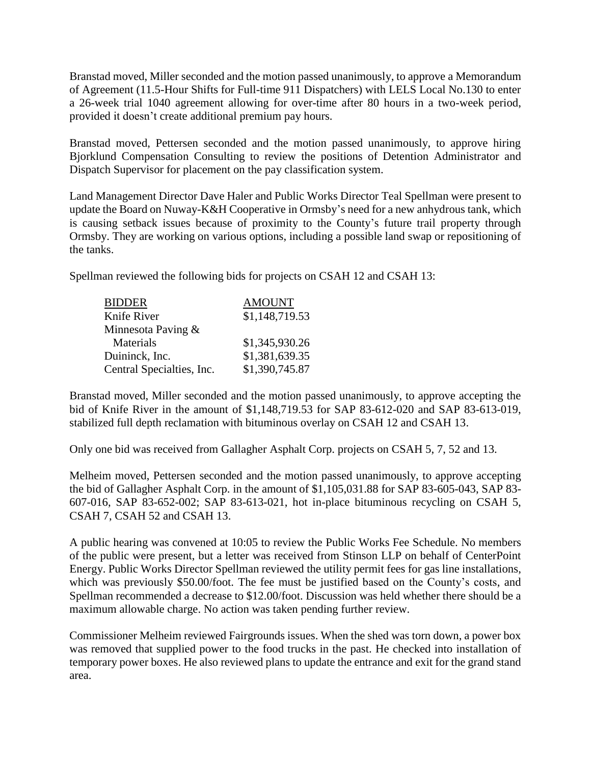Branstad moved, Miller seconded and the motion passed unanimously, to approve a Memorandum of Agreement (11.5-Hour Shifts for Full-time 911 Dispatchers) with LELS Local No.130 to enter a 26-week trial 1040 agreement allowing for over-time after 80 hours in a two-week period, provided it doesn't create additional premium pay hours.

Branstad moved, Pettersen seconded and the motion passed unanimously, to approve hiring Bjorklund Compensation Consulting to review the positions of Detention Administrator and Dispatch Supervisor for placement on the pay classification system.

Land Management Director Dave Haler and Public Works Director Teal Spellman were present to update the Board on Nuway-K&H Cooperative in Ormsby's need for a new anhydrous tank, which is causing setback issues because of proximity to the County's future trail property through Ormsby. They are working on various options, including a possible land swap or repositioning of the tanks.

Spellman reviewed the following bids for projects on CSAH 12 and CSAH 13:

| <b>BIDDER</b>             | <b>AMOUNT</b>  |
|---------------------------|----------------|
| Knife River               | \$1,148,719.53 |
| Minnesota Paving $&$      |                |
| Materials                 | \$1,345,930.26 |
| Duininck, Inc.            | \$1,381,639.35 |
| Central Specialties, Inc. | \$1,390,745.87 |

Branstad moved, Miller seconded and the motion passed unanimously, to approve accepting the bid of Knife River in the amount of \$1,148,719.53 for SAP 83-612-020 and SAP 83-613-019, stabilized full depth reclamation with bituminous overlay on CSAH 12 and CSAH 13.

Only one bid was received from Gallagher Asphalt Corp. projects on CSAH 5, 7, 52 and 13.

Melheim moved, Pettersen seconded and the motion passed unanimously, to approve accepting the bid of Gallagher Asphalt Corp. in the amount of \$1,105,031.88 for SAP 83-605-043, SAP 83- 607-016, SAP 83-652-002; SAP 83-613-021, hot in-place bituminous recycling on CSAH 5, CSAH 7, CSAH 52 and CSAH 13.

A public hearing was convened at 10:05 to review the Public Works Fee Schedule. No members of the public were present, but a letter was received from Stinson LLP on behalf of CenterPoint Energy. Public Works Director Spellman reviewed the utility permit fees for gas line installations, which was previously \$50.00/foot. The fee must be justified based on the County's costs, and Spellman recommended a decrease to \$12.00/foot. Discussion was held whether there should be a maximum allowable charge. No action was taken pending further review.

Commissioner Melheim reviewed Fairgrounds issues. When the shed was torn down, a power box was removed that supplied power to the food trucks in the past. He checked into installation of temporary power boxes. He also reviewed plans to update the entrance and exit for the grand stand area.